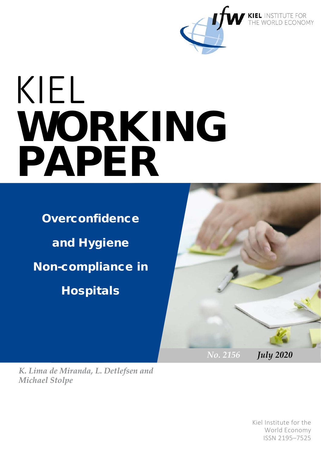

# KIEL WORKING PAPER

**Overconfidence** and Hygiene Non-compliance in **Hospitals** 



*K. Lima de Miranda, L. Detlefsen and Michael Stolpe*

> 1 ISSN 2195–7525 Kiel Institute for the World Economy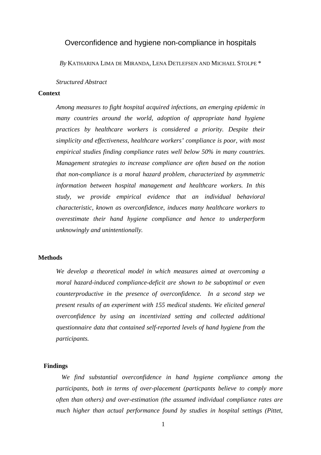# Overconfidence and hygiene non-compliance in hospitals

*By* KATHARINA LIMA DE MIRANDA, LENA DETLEFSEN AND MICHAEL STOLPE \*

#### *Structured Abstract*

# **Context**

*Among measures to fight hospital acquired infections, an emerging epidemic in many countries around the world, adoption of appropriate hand hygiene practices by healthcare workers is considered a priority. Despite their simplicity and effectiveness, healthcare workers' compliance is poor, with most empirical studies finding compliance rates well below 50% in many countries. Management strategies to increase compliance are often based on the notion that non-compliance is a moral hazard problem, characterized by asymmetric information between hospital management and healthcare workers. In this study, we provide empirical evidence that an individual behavioral characteristic, known as overconfidence, induces many healthcare workers to overestimate their hand hygiene compliance and hence to underperform unknowingly and unintentionally.* 

#### **Methods**

*We develop a theoretical model in which measures aimed at overcoming a moral hazard-induced compliance-deficit are shown to be suboptimal or even counterproductive in the presence of overconfidence. In a second step we present results of an experiment with 155 medical students. We elicited general overconfidence by using an incentivized setting and collected additional questionnaire data that contained self-reported levels of hand hygiene from the participants.*

#### **Findings**

*We find substantial overconfidence in hand hygiene compliance among the participants, both in terms of over-placement (particpants believe to comply more often than others) and over-estimation (the assumed individual compliance rates are much higher than actual performance found by studies in hospital settings (Pittet,*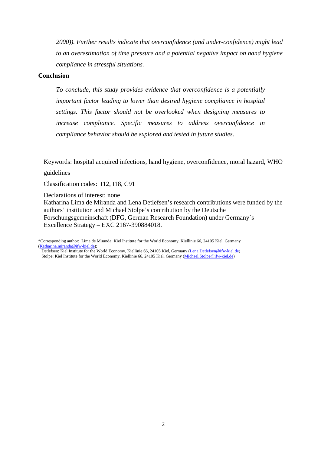*2000)). Further results indicate that overconfidence (and under-confidence) might lead to an overestimation of time pressure and a potential negative impact on hand hygiene compliance in stressful situations.* 

## **Conclusion**

*To conclude, this study provides evidence that overconfidence is a potentially important factor leading to lower than desired hygiene compliance in hospital settings. This factor should not be overlooked when designing measures to increase compliance. Specific measures to address overconfidence in compliance behavior should be explored and tested in future studies.* 

Keywords: hospital acquired infections, hand hygiene, overconfidence, moral hazard, WHO

guidelines

Classification codes: I12, I18, C91

Declarations of interest: none

Katharina Lima de Miranda and Lena Detlefsen's research contributions were funded by the authors' institution and Michael Stolpe's contribution by the Deutsche Forschungsgemeinschaft (DFG, German Research Foundation) under Germany`s Excellence Strategy – EXC 2167-390884018.

\*Corresponding author: Lima de Miranda: Kiel Institute for the World Economy, Kiellinie 66, 24105 Kiel, Germany [\(Katharina.miranda@ifw-kiel.de\)](mailto:Katharina.miranda@ifw-kiel.de);

Detlefsen: Kiel Institute for the World Economy, Kiellinie 66, 24105 Kiel, Germany [\(Lena.Detlefsen@ifw-kiel.de\)](mailto:Lena.Detlefsen@ifw-kiel.de) Stolpe: Kiel Institute for the World Economy, Kiellinie 66, 24105 Kiel, Germany [\(Michael.Stolpe@ifw-kiel.de\)](mailto:Michael.Stolpe@ifw-kiel.de)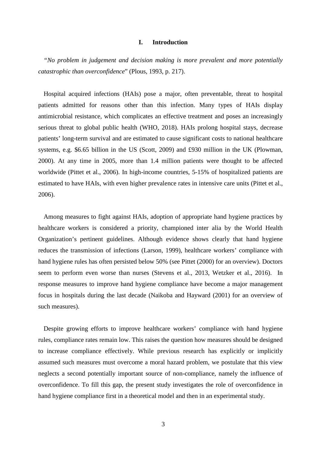#### **I. Introduction**

*"No problem in judgement and decision making is more prevalent and more potentially catastrophic than overconfidence*" (Plous, 1993, p. 217).

Hospital acquired infections (HAIs) pose a major, often preventable, threat to hospital patients admitted for reasons other than this infection. Many types of HAIs display antimicrobial resistance, which complicates an effective treatment and poses an increasingly serious threat to global public health (WHO, 2018). HAIs prolong hospital stays, decrease patients' long-term survival and are estimated to cause significant costs to national healthcare systems, e.g. \$6.65 billion in the US (Scott, 2009) and £930 million in the UK (Plowman, 2000). At any time in 2005, more than 1.4 million patients were thought to be affected worldwide (Pittet et al., 2006). In high-income countries, 5-15% of hospitalized patients are estimated to have HAIs, with even higher prevalence rates in intensive care units (Pittet et al., 2006).

Among measures to fight against HAIs, adoption of appropriate hand hygiene practices by healthcare workers is considered a priority, championed inter alia by the World Health Organization's pertinent guidelines. Although evidence shows clearly that hand hygiene reduces the transmission of infections (Larson, 1999), healthcare workers' compliance with hand hygiene rules has often persisted below 50% (see Pittet (2000) for an overview). Doctors seem to perform even worse than nurses (Stevens et al., 2013, Wetzker et al., 2016). In response measures to improve hand hygiene compliance have become a major management focus in hospitals during the last decade (Naikoba and Hayward (2001) for an overview of such measures).

Despite growing efforts to improve healthcare workers' compliance with hand hygiene rules, compliance rates remain low. This raises the question how measures should be designed to increase compliance effectively. While previous research has explicitly or implicitly assumed such measures must overcome a moral hazard problem, we postulate that this view neglects a second potentially important source of non-compliance, namely the influence of overconfidence. To fill this gap, the present study investigates the role of overconfidence in hand hygiene compliance first in a theoretical model and then in an experimental study.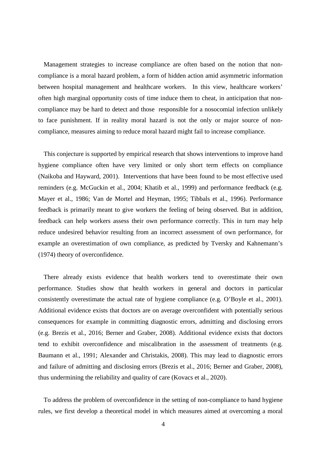Management strategies to increase compliance are often based on the notion that noncompliance is a moral hazard problem, a form of hidden action amid asymmetric information between hospital management and healthcare workers. In this view, healthcare workers' often high marginal opportunity costs of time induce them to cheat, in anticipation that noncompliance may be hard to detect and those responsible for a nosocomial infection unlikely to face punishment. If in reality moral hazard is not the only or major source of noncompliance, measures aiming to reduce moral hazard might fail to increase compliance.

This conjecture is supported by empirical research that shows interventions to improve hand hygiene compliance often have very limited or only short term effects on compliance (Naikoba and Hayward, 2001). Interventions that have been found to be most effective used reminders (e.g. McGuckin et al., 2004; Khatib et al., 1999) and performance feedback (e.g. Mayer et al., 1986; Van de Mortel and Heyman, 1995; Tibbals et al., 1996). Performance feedback is primarily meant to give workers the feeling of being observed. But in addition, feedback can help workers assess their own performance correctly. This in turn may help reduce undesired behavior resulting from an incorrect assessment of own performance, for example an overestimation of own compliance, as predicted by Tversky and Kahnemann's (1974) theory of overconfidence.

There already exists evidence that health workers tend to overestimate their own performance. Studies show that health workers in general and doctors in particular consistently overestimate the actual rate of hygiene compliance (e.g. O'Boyle et al., 2001). Additional evidence exists that doctors are on average overconfident with potentially serious consequences for example in committing diagnostic errors, admitting and disclosing errors (e.g. Brezis et al., 2016; Berner and Graber, 2008). Additional evidence exists that doctors tend to exhibit overconfidence and miscalibration in the assessment of treatments (e.g. Baumann et al., 1991; Alexander and Christakis, 2008). This may lead to diagnostic errors and failure of admitting and disclosing errors (Brezis et al., 2016; Berner and Graber, 2008), thus undermining the reliability and quality of care (Kovacs et al., 2020).

To address the problem of overconfidence in the setting of non-compliance to hand hygiene rules, we first develop a theoretical model in which measures aimed at overcoming a moral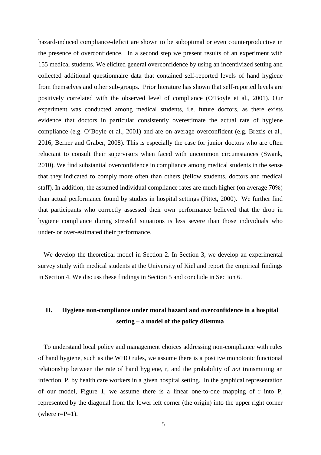hazard-induced compliance-deficit are shown to be suboptimal or even counterproductive in the presence of overconfidence. In a second step we present results of an experiment with 155 medical students. We elicited general overconfidence by using an incentivized setting and collected additional questionnaire data that contained self-reported levels of hand hygiene from themselves and other sub-groups. Prior literature has shown that self-reported levels are positively correlated with the observed level of compliance (O'Boyle et al., 2001). Our experiment was conducted among medical students, i.e. future doctors, as there exists evidence that doctors in particular consistently overestimate the actual rate of hygiene compliance (e.g. O'Boyle et al., 2001) and are on average overconfident (e.g. Brezis et al., 2016; Berner and Graber, 2008). This is especially the case for junior doctors who are often reluctant to consult their supervisors when faced with uncommon circumstances (Swank, 2010). We find substantial overconfidence in compliance among medical students in the sense that they indicated to comply more often than others (fellow students, doctors and medical staff). In addition, the assumed individual compliance rates are much higher (on average 70%) than actual performance found by studies in hospital settings (Pittet, 2000). We further find that participants who correctly assessed their own performance believed that the drop in hygiene compliance during stressful situations is less severe than those individuals who under- or over-estimated their performance.

We develop the theoretical model in Section 2. In Section 3, we develop an experimental survey study with medical students at the University of Kiel and report the empirical findings in Section 4. We discuss these findings in Section 5 and conclude in Section 6.

# **II. Hygiene non-compliance under moral hazard and overconfidence in a hospital setting – a model of the policy dilemma**

To understand local policy and management choices addressing non-compliance with rules of hand hygiene, such as the WHO rules, we assume there is a positive monotonic functional relationship between the rate of hand hygiene, r, and the probability of *not* transmitting an infection, P, by health care workers in a given hospital setting. In the graphical representation of our model, [Figure 1,](#page-6-0) we assume there is a linear one-to-one mapping of r into P, represented by the diagonal from the lower left corner (the origin) into the upper right corner (where  $r = P = 1$ ).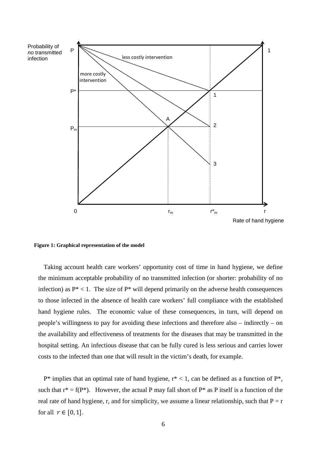

<span id="page-6-0"></span>**Figure 1: Graphical representation of the model**

Taking account health care workers' opportunity cost of time in hand hygiene, we define the minimum acceptable probability of no transmitted infection (or shorter: probability of no infection) as  $P^*$  < 1. The size of  $P^*$  will depend primarily on the adverse health consequences to those infected in the absence of health care workers' full compliance with the established hand hygiene rules. The economic value of these consequences, in turn, will depend on people's willingness to pay for avoiding these infections and therefore also – indirectly – on the availability and effectiveness of treatments for the diseases that may be transmitted in the hospital setting. An infectious disease that can be fully cured is less serious and carries lower costs to the infected than one that will result in the victim's death, for example.

 $P^*$  implies that an optimal rate of hand hygiene,  $r^*$  < 1, can be defined as a function of  $P^*$ , such that  $r^* = f(P^*)$ . However, the actual P may fall short of  $P^*$  as P itself is a function of the real rate of hand hygiene, r, and for simplicity, we assume a linear relationship, such that  $P = r$ for all  $r \in [0, 1]$ .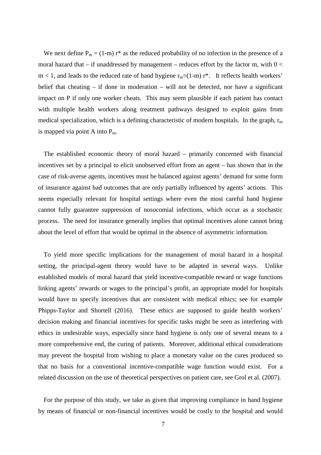We next define  $P_m = (1-m) r^*$  as the reduced probability of no infection in the presence of a moral hazard that – if unaddressed by management – reduces effort by the factor m, with  $0 <$  $m < 1$ , and leads to the reduced rate of hand hygiene  $r_m = (1-m) r^*$ . It reflects health workers' belief that cheating – if done in moderation – will not be detected, nor have a significant impact on P if only one worker cheats. This may seem plausible if each patient has contact with multiple health workers along treatment pathways designed to exploit gains from medical specialization, which is a defining characteristic of modern hospitals. In the graph,  $r_m$ is mapped via point A into  $P_m$ .

The established economic theory of moral hazard – primarily concerned with financial incentives set by a principal to elicit unobserved effort from an agent – has shown that in the case of risk-averse agents, incentives must be balanced against agents' demand for some form of insurance against bad outcomes that are only partially influenced by agents' actions. This seems especially relevant for hospital settings where even the most careful hand hygiene cannot fully guarantee suppression of nosocomial infections, which occur as a stochastic process. The need for insurance generally implies that optimal incentives alone cannot bring about the level of effort that would be optimal in the absence of asymmetric information.

To yield more specific implications for the management of moral hazard in a hospital setting, the principal-agent theory would have to be adapted in several ways. Unlike established models of moral hazard that yield incentive-compatible reward or wage functions linking agents' rewards or wages to the principal's profit, an appropriate model for hospitals would have to specify incentives that are consistent with medical ethics; see for example Phipps-Taylor and Shortell (2016). These ethics are supposed to guide health workers' decision making and financial incentives for specific tasks might be seen as interfering with ethics in undesirable ways, especially since hand hygiene is only one of several means to a more comprehensive end, the curing of patients. Moreover, additional ethical considerations may prevent the hospital from wishing to place a monetary value on the cures produced so that no basis for a conventional incentive-compatible wage function would exist. For a related discussion on the use of theoretical perspectives on patient care, see Grol et al. (2007).

For the purpose of this study, we take as given that improving compliance in hand hygiene by means of financial or non-financial incentives would be costly to the hospital and would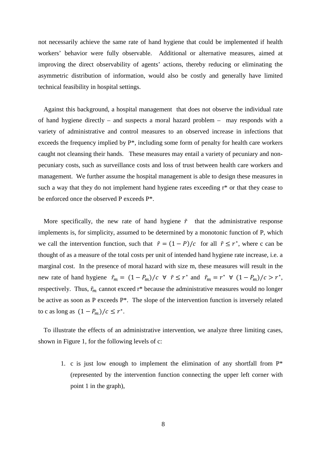not necessarily achieve the same rate of hand hygiene that could be implemented if health workers' behavior were fully observable. Additional or alternative measures, aimed at improving the direct observability of agents' actions, thereby reducing or eliminating the asymmetric distribution of information, would also be costly and generally have limited technical feasibility in hospital settings.

Against this background, a hospital management that does not observe the individual rate of hand hygiene directly – and suspects a moral hazard problem – may responds with a variety of administrative and control measures to an observed increase in infections that exceeds the frequency implied by P\*, including some form of penalty for health care workers caught not cleansing their hands. These measures may entail a variety of pecuniary and nonpecuniary costs, such as surveillance costs and loss of trust between health care workers and management. We further assume the hospital management is able to design these measures in such a way that they do not implement hand hygiene rates exceeding r\* or that they cease to be enforced once the observed P exceeds P\*.

More specifically, the new rate of hand hygiene  $\tilde{r}$  that the administrative response implements is, for simplicity, assumed to be determined by a monotonic function of P, which we call the intervention function, such that  $\tilde{r} = (1 - P)/c$  for all  $\tilde{r} \le r^*$ , where c can be thought of as a measure of the total costs per unit of intended hand hygiene rate increase, i.e. a marginal cost. In the presence of moral hazard with size m, these measures will result in the new rate of hand hygiene  $\tilde{r}_m = (1 - P_m)/c \ \forall \ \tilde{r} \leq r^*$  and  $\tilde{r}_m = r^* \ \forall (1 - P_m)/c > r^*$ , respectively. Thus,  $\tilde{r}_m$  cannot exceed  $r^*$  because the administrative measures would no longer be active as soon as P exceeds P\*. The slope of the intervention function is inversely related to c as long as  $(1 - P_m)/c \leq r^*$ .

To illustrate the effects of an administrative intervention, we analyze three limiting cases, shown in Figure 1, for the following levels of c:

1. c is just low enough to implement the elimination of any shortfall from  $P^*$ (represented by the intervention function connecting the upper left corner with point 1 in the graph),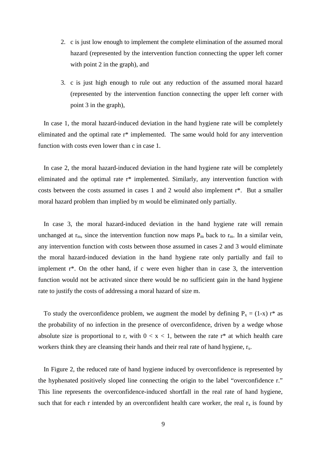- 2. c is just low enough to implement the complete elimination of the assumed moral hazard (represented by the intervention function connecting the upper left corner with point 2 in the graph), and
- 3. c is just high enough to rule out any reduction of the assumed moral hazard (represented by the intervention function connecting the upper left corner with point 3 in the graph),

In case 1, the moral hazard-induced deviation in the hand hygiene rate will be completely eliminated and the optimal rate r\* implemented. The same would hold for any intervention function with costs even lower than c in case 1.

In case 2, the moral hazard-induced deviation in the hand hygiene rate will be completely eliminated and the optimal rate r\* implemented. Similarly, any intervention function with costs between the costs assumed in cases 1 and 2 would also implement r\*. But a smaller moral hazard problem than implied by m would be eliminated only partially.

In case 3, the moral hazard-induced deviation in the hand hygiene rate will remain unchanged at  $r_m$ , since the intervention function now maps  $P_m$  back to  $r_m$ . In a similar vein, any intervention function with costs between those assumed in cases 2 and 3 would eliminate the moral hazard-induced deviation in the hand hygiene rate only partially and fail to implement r\*. On the other hand, if c were even higher than in case 3, the intervention function would not be activated since there would be no sufficient gain in the hand hygiene rate to justify the costs of addressing a moral hazard of size m.

To study the overconfidence problem, we augment the model by defining  $P_x = (1-x) r^*$  as the probability of no infection in the presence of overconfidence, driven by a wedge whose absolute size is proportional to r, with  $0 < x < 1$ , between the rate r<sup>\*</sup> at which health care workers think they are cleansing their hands and their real rate of hand hygiene,  $r_x$ .

In Figure 2, the reduced rate of hand hygiene induced by overconfidence is represented by the hyphenated positively sloped line connecting the origin to the label "overconfidence r." This line represents the overconfidence-induced shortfall in the real rate of hand hygiene, such that for each r intended by an overconfident health care worker, the real  $r_x$  is found by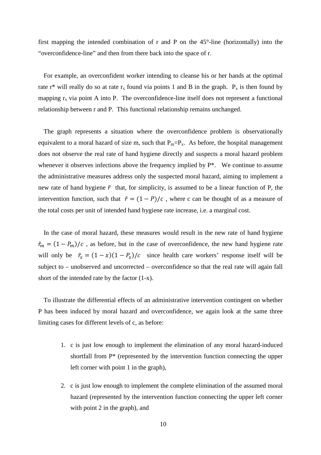first mapping the intended combination of r and P on the 45°-line (horizontally) into the "overconfidence-line" and then from there back into the space of r.

For example, an overconfident worker intending to cleanse his or her hands at the optimal rate r\* will really do so at rate  $r_x$  found via points 1 and B in the graph.  $P_x$  is then found by mapping  $r<sub>x</sub>$  via point A into P. The overconfidence-line itself does not represent a functional relationship between r and P. This functional relationship remains unchanged.

The graph represents a situation where the overconfidence problem is observationally equivalent to a moral hazard of size m, such that  $P_m = P_x$ . As before, the hospital management does not observe the real rate of hand hygiene directly and suspects a moral hazard problem whenever it observes infections above the frequency implied by  $P^*$ . We continue to assume the administrative measures address only the suspected moral hazard, aiming to implement a new rate of hand hygiene  $\tilde{r}$  that, for simplicity, is assumed to be a linear function of P, the intervention function, such that  $\tilde{r} = (1 - P)/c$ , where c can be thought of as a measure of the total costs per unit of intended hand hygiene rate increase, i.e. a marginal cost.

In the case of moral hazard, these measures would result in the new rate of hand hygiene  $\tilde{r}_m = (1 - P_m)/c$ , as before, but in the case of overconfidence, the new hand hygiene rate will only be  $\tilde{r}_x = (1 - x)(1 - P_x)/c$  since health care workers' response itself will be subject to – unobserved and uncorrected – overconfidence so that the real rate will again fall short of the intended rate by the factor (1-x).

To illustrate the differential effects of an administrative intervention contingent on whether P has been induced by moral hazard and overconfidence, we again look at the same three limiting cases for different levels of c, as before:

- 1. c is just low enough to implement the elimination of any moral hazard-induced shortfall from P\* (represented by the intervention function connecting the upper left corner with point 1 in the graph),
- 2. c is just low enough to implement the complete elimination of the assumed moral hazard (represented by the intervention function connecting the upper left corner with point 2 in the graph), and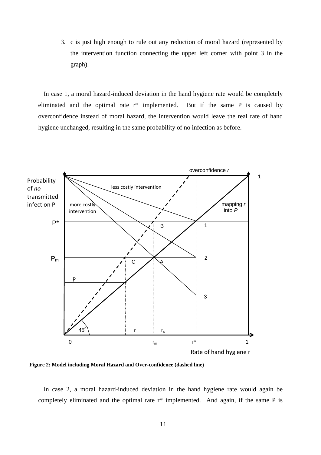3. c is just high enough to rule out any reduction of moral hazard (represented by the intervention function connecting the upper left corner with point 3 in the graph).

In case 1, a moral hazard-induced deviation in the hand hygiene rate would be completely eliminated and the optimal rate r\* implemented. But if the same P is caused by overconfidence instead of moral hazard, the intervention would leave the real rate of hand hygiene unchanged, resulting in the same probability of no infection as before.



**Figure 2: Model including Moral Hazard and Over-confidence (dashed line)**

In case 2, a moral hazard-induced deviation in the hand hygiene rate would again be completely eliminated and the optimal rate r\* implemented. And again, if the same P is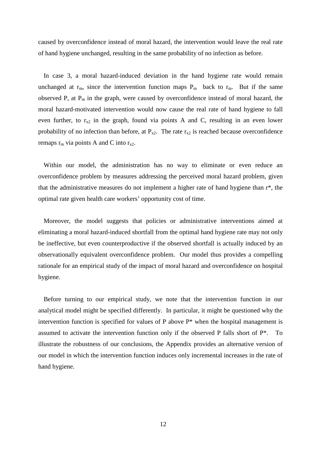caused by overconfidence instead of moral hazard, the intervention would leave the real rate of hand hygiene unchanged, resulting in the same probability of no infection as before.

In case 3, a moral hazard-induced deviation in the hand hygiene rate would remain unchanged at  $r_m$ , since the intervention function maps  $P_m$  back to  $r_m$ . But if the same observed P, at  $P_m$  in the graph, were caused by overconfidence instead of moral hazard, the moral hazard-motivated intervention would now cause the real rate of hand hygiene to fall even further, to  $r_{x2}$  in the graph, found via points A and C, resulting in an even lower probability of no infection than before, at  $P_{x2}$ . The rate  $r_{x2}$  is reached because overconfidence remaps  $r_m$  via points A and C into  $r_{x2}$ .

Within our model, the administration has no way to eliminate or even reduce an overconfidence problem by measures addressing the perceived moral hazard problem, given that the administrative measures do not implement a higher rate of hand hygiene than r\*, the optimal rate given health care workers' opportunity cost of time.

Moreover, the model suggests that policies or administrative interventions aimed at eliminating a moral hazard-induced shortfall from the optimal hand hygiene rate may not only be ineffective, but even counterproductive if the observed shortfall is actually induced by an observationally equivalent overconfidence problem. Our model thus provides a compelling rationale for an empirical study of the impact of moral hazard and overconfidence on hospital hygiene.

Before turning to our empirical study, we note that the intervention function in our analytical model might be specified differently. In particular, it might be questioned why the intervention function is specified for values of P above P\* when the hospital management is assumed to activate the intervention function only if the observed P falls short of P\*. To illustrate the robustness of our conclusions, the Appendix provides an alternative version of our model in which the intervention function induces only incremental increases in the rate of hand hygiene.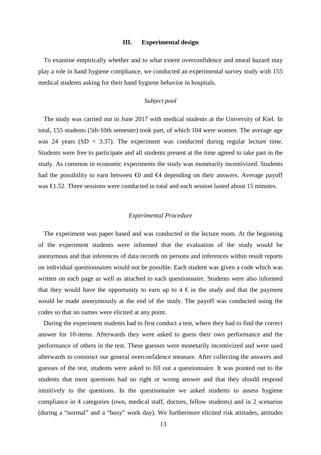#### **III. Experimental design**

To examine empirically whether and to what extent overconfidence and moral hazard may play a role in hand hygiene compliance, we conducted an experimental survey study with 155 medical students asking for their hand hygiene behavior in hospitals.

# *Subject pool*

The study was carried out in June 2017 with medical students at the University of Kiel. In total, 155 students (5th-10th semester) took part, of which 104 were women. The average age was 24 years ( $SD = 3.37$ ). The experiment was conducted during regular lecture time. Students were free to participate and all students present at the time agreed to take part in the study. As common in economic experiments the study was monetarily incentivized. Students had the possibility to earn between  $\bigoplus$  and  $\bigoplus$  depending on their answers. Average payoff was €1.52. Three sessions were conducted in total and each session lasted about 15 minutes.

#### *Experimental Procedure*

The experiment was paper based and was conducted in the lecture room. At the beginning of the experiment students were informed that the evaluation of the study would be anonymous and that inferences of data records on persons and inferences within result reports on individual questionnaires would not be possible. Each student was given a code which was written on each page as well as attached to each questionnaire. Students were also informed that they would have the opportunity to earn up to  $4 \text{ } \infty$  in the study and that the payment would be made anonymously at the end of the study. The payoff was conducted using the codes so that no names were elicited at any point.

During the experiment students had to first conduct a test, where they had to find the correct answer for 10-items. Afterwards they were asked to guess their own performance and the performance of others in the test. These guesses were monetarily incentivized and were used afterwards to construct our general overconfidence measure. After collecting the answers and guesses of the test, students were asked to fill out a questionnaire. It was pointed out to the students that most questions had no right or wrong answer and that they should respond intuitively to the questions. In the questionnaire we asked students to assess hygiene compliance in 4 categories (own, medical staff, doctors, fellow students) and in 2 scenarios (during a "normal" and a "busy" work day). We furthermore elicited risk attitudes, attitudes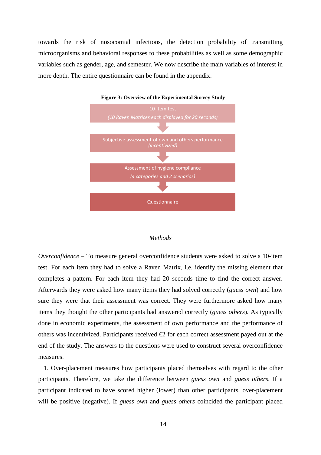towards the risk of nosocomial infections, the detection probability of transmitting microorganisms and behavioral responses to these probabilities as well as some demographic variables such as gender, age, and semester. We now describe the main variables of interest in more depth. The entire questionnaire can be found in the appendix.



# **Figure 3: Overview of the Experimental Survey Study**

#### *Methods*

*Overconfidence –* To measure general overconfidence students were asked to solve a 10-item test. For each item they had to solve a Raven Matrix, i.e. identify the missing element that completes a pattern. For each item they had 20 seconds time to find the correct answer. Afterwards they were asked how many items they had solved correctly (*guess own*) and how sure they were that their assessment was correct. They were furthermore asked how many items they thought the other participants had answered correctly (*guess others*). As typically done in economic experiments, the assessment of own performance and the performance of others was incentivized. Participants received  $\bigoplus$  for each correct assessment payed out at the end of the study. The answers to the questions were used to construct several overconfidence measures.

1. Over-placement measures how participants placed themselves with regard to the other participants. Therefore, we take the difference between *guess own* and *guess others*. If a participant indicated to have scored higher (lower) than other participants, over-placement will be positive (negative). If *guess own* and *guess others* coincided the participant placed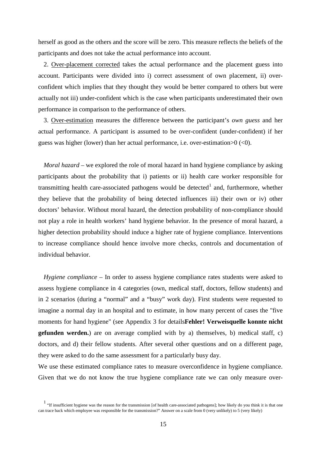herself as good as the others and the score will be zero. This measure reflects the beliefs of the participants and does not take the actual performance into account.

2. Over-placement corrected takes the actual performance and the placement guess into account. Participants were divided into i) correct assessment of own placement, ii) overconfident which implies that they thought they would be better compared to others but were actually not iii) under-confident which is the case when participants underestimated their own performance in comparison to the performance of others.

3. Over-estimation measures the difference between the participant's *own guess* and her actual performance. A participant is assumed to be over-confident (under-confident) if her guess was higher (lower) than her actual performance, i.e. over-estimation>0 (<0).

*Moral hazard* – we explored the role of moral hazard in hand hygiene compliance by asking participants about the probability that i) patients or ii) health care worker responsible for transmitting health care-associated pathogens would be detected<sup>[1](#page-15-0)</sup> and, furthermore, whether they believe that the probability of being detected influences iii) their own or iv) other doctors' behavior. Without moral hazard, the detection probability of non-compliance should not play a role in health workers' hand hygiene behavior. In the presence of moral hazard, a higher detection probability should induce a higher rate of hygiene compliance. Interventions to increase compliance should hence involve more checks, controls and documentation of individual behavior.

*Hygiene compliance* – In order to assess hygiene compliance rates students were asked to assess hygiene compliance in 4 categories (own, medical staff, doctors, fellow students) and in 2 scenarios (during a "normal" and a "busy" work day). First students were requested to imagine a normal day in an hospital and to estimate, in how many percent of cases the "five moments for hand hygiene" (see Appendix 3 for details**Fehler! Verweisquelle konnte nicht gefunden werden.**) are on average complied with by a) themselves, b) medical staff, c) doctors, and d) their fellow students. After several other questions and on a different page, they were asked to do the same assessment for a particularly busy day.

We use these estimated compliance rates to measure overconfidence in hygiene compliance. Given that we do not know the true hygiene compliance rate we can only measure over-

<span id="page-15-0"></span><sup>&</sup>lt;sup>1</sup> "If insufficient hygiene was the reason for the transmission [of health care-associated pathogens]; how likely do you think it is that one can trace back which employee was responsible for the transmission?" Answer on a scale from 0 (very unlikely) to 5 (very likely)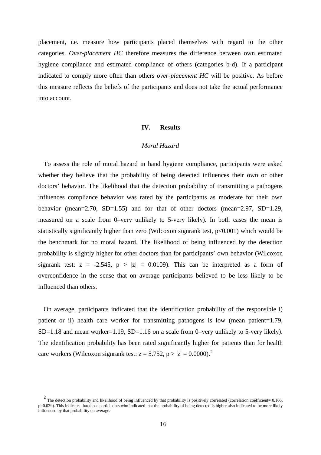placement, i.e. measure how participants placed themselves with regard to the other categories. *Over-placement HC* therefore measures the difference between own estimated hygiene compliance and estimated compliance of others (categories b-d). If a participant indicated to comply more often than others *over-placement HC* will be positive. As before this measure reflects the beliefs of the participants and does not take the actual performance into account.

#### **IV. Results**

## *Moral Hazard*

To assess the role of moral hazard in hand hygiene compliance, participants were asked whether they believe that the probability of being detected influences their own or other doctors' behavior. The likelihood that the detection probability of transmitting a pathogens influences compliance behavior was rated by the participants as moderate for their own behavior (mean=2.70, SD=1.55) and for that of other doctors (mean=2.97, SD=1.29, measured on a scale from 0–very unlikely to 5-very likely). In both cases the mean is statistically significantly higher than zero (Wilcoxon signrank test,  $p<0.001$ ) which would be the benchmark for no moral hazard. The likelihood of being influenced by the detection probability is slightly higher for other doctors than for participants' own behavior (Wilcoxon signrank test:  $z = -2.545$ ,  $p > |z| = 0.0109$ . This can be interpreted as a form of overconfidence in the sense that on average participants believed to be less likely to be influenced than others.

On average, participants indicated that the identification probability of the responsible i) patient or ii) health care worker for transmitting pathogens is low (mean patient=1.79, SD=1.18 and mean worker=1.19, SD=1.16 on a scale from 0–very unlikely to 5-very likely). The identification probability has been rated significantly higher for patients than for health care workers (Wilcoxon signrank test:  $z = 5.752$  $z = 5.752$ ,  $p > |z| = 0.0000$ ).<sup>2</sup>

<span id="page-16-0"></span> $2$  The detection probability and likelihood of being influenced by that probability is positively correlated (correlation coefficient= 0.166, p=0.039). This indicates that those participants who indicated that the probability of being detected is higher also indicated to be more likely influenced by that probability on average.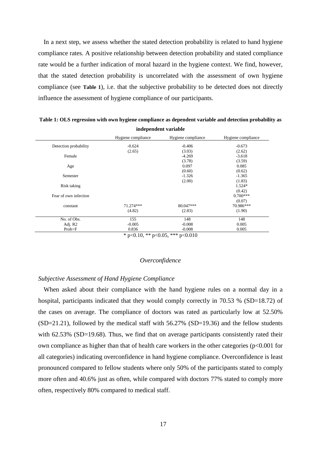In a next step, we assess whether the stated detection probability is related to hand hygiene compliance rates. A positive relationship between detection probability and stated compliance rate would be a further indication of moral hazard in the hygiene context. We find, however, that the stated detection probability is uncorrelated with the assessment of own hygiene compliance (see **[Table 1](#page-17-0)**), i.e. that the subjective probability to be detected does not directly influence the assessment of hygiene compliance of our participants.

|                       | Hygiene compliance | Hygiene compliance | Hygiene compliance |
|-----------------------|--------------------|--------------------|--------------------|
| Detection probability | $-0.624$           | $-0.406$           | $-0.673$           |
|                       | (2.65)             | (3.03)             | (2.62)             |
| Female                |                    | $-4.269$           | $-3.618$           |
|                       |                    | (3.78)             | (3.59)             |
| Age                   |                    | 0.097              | 0.085              |
|                       |                    | (0.60)             | (0.62)             |
| Semester              |                    | $-1.326$           | $-1.365$           |
|                       |                    | (2.00)             | (1.83)             |
| Risk taking           |                    |                    | $1.524*$           |
|                       |                    |                    | (0.42)             |
| Fear of own infection |                    |                    | $0.700***$         |
|                       |                    |                    | (0.07)             |
| constant              | 71.274***          | 80.047***          | 70.986***          |
|                       | (4.82)             | (2.83)             | (1.90)             |
| No. of Obs.           | 155                | 148                | 148                |
| Adj. R2               | $-0.005$           | $-0.008$           | 0.005              |
| Prob>F                | 0.836              | $-0.008$           | 0.005              |

<span id="page-17-0"></span>**Table 1: OLS regression with own hygiene compliance as dependent variable and detection probability as independent variable**

 $*$  p<0.10, \*\* p<0.05, \*\*\* p<0.010

#### *Overconfidence*

#### *Subjective Assessment of Hand Hygiene Compliance*

When asked about their compliance with the hand hygiene rules on a normal day in a hospital, participants indicated that they would comply correctly in 70.53 % (SD=18.72) of the cases on average. The compliance of doctors was rated as particularly low at 52.50%  $(SD=21.21)$ , followed by the medical staff with 56.27%  $(SD=19.36)$  and the fellow students with 62.53% (SD=19.68). Thus, we find that on average participants consistently rated their own compliance as higher than that of health care workers in the other categories (p<0.001 for all categories) indicating overconfidence in hand hygiene compliance. Overconfidence is least pronounced compared to fellow students where only 50% of the participants stated to comply more often and 40.6% just as often, while compared with doctors 77% stated to comply more often, respectively 80% compared to medical staff.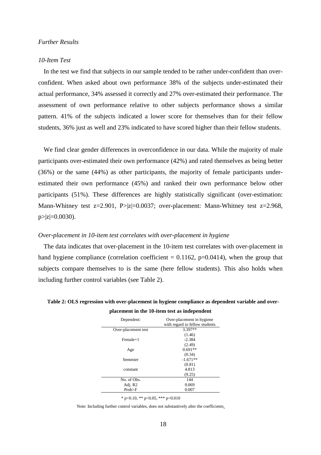#### *Further Results*

#### *10-Item Test*

In the test we find that subjects in our sample tended to be rather under-confident than overconfident. When asked about own performance 38% of the subjects under-estimated their actual performance, 34% assessed it correctly and 27% over-estimated their performance. The assessment of own performance relative to other subjects performance shows a similar pattern. 41% of the subjects indicated a lower score for themselves than for their fellow students, 36% just as well and 23% indicated to have scored higher than their fellow students.

We find clear gender differences in overconfidence in our data. While the majority of male participants over-estimated their own performance (42%) and rated themselves as being better (36%) or the same (44%) as other participants, the majority of female participants underestimated their own performance (45%) and ranked their own performance below other participants (51%). These differences are highly statistically significant (over-estimation: Mann-Whitney test  $z=2.901$ ,  $P>|z|=0.0037$ ; over-placement: Mann-Whitney test  $z=2.968$ ,  $p > |z| = 0.0030$ .

#### *Over-placement in 10-item test correlates with over-placement in hygiene*

The data indicates that over-placement in the 10-item test correlates with over-placement in hand hygiene compliance (correlation coefficient  $= 0.1162$ , p=0.0414), when the group that subjects compare themselves to is the same (here fellow students). This also holds when including further control variables (see Table 2).

| Over-placement in hygiene.<br>with regard to fellow students |
|--------------------------------------------------------------|
| 3.397**                                                      |
| (1.46)                                                       |
| $-2.384$                                                     |
| (2.49)                                                       |
| $0.691**$                                                    |
| (0.34)                                                       |
| $-1.671**$                                                   |
| (0.81)                                                       |
| 4.813                                                        |
| (9.25)                                                       |
| 144                                                          |
| 0.069                                                        |
| 0.007                                                        |
|                                                              |

<span id="page-18-0"></span>**Table 2: OLS regression with over-placement in hygiene compliance as dependent variable and overplacement in the 10-item test as independent**

\* p<0.10, \*\* p<0.05, \*\*\* p<0.010

Note: Including further control variables, does not substantively alter the coefficients.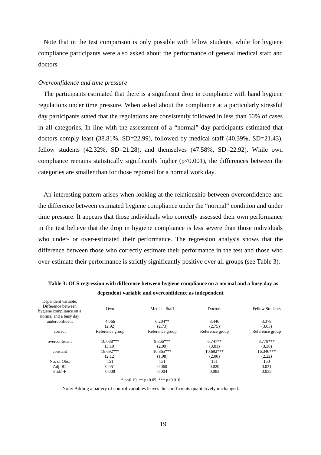Note that in the test comparison is only possible with fellow students, while for hygiene compliance participants were also asked about the performance of general medical staff and doctors.

#### *Overconfidence and time pressure*

The participants estimated that there is a significant drop in compliance with hand hygiene regulations under time pressure. When asked about the compliance at a particularly stressful day participants stated that the regulations are consistently followed in less than 50% of cases in all categories. In line with the assessment of a "normal" day participants estimated that doctors comply least (38.81%, SD=22.99), followed by medical staff (40.39%, SD=21.43), fellow students  $(42.32\%, SD=21.28)$ , and themselves  $(47.58\%, SD=22.92)$ . While own compliance remains statistically significantly higher  $(p<0.001)$ , the differences between the categories are smaller than for those reported for a normal work day.

An interesting pattern arises when looking at the relationship between overconfidence and the difference between estimated hygiene compliance under the "normal" condition and under time pressure. It appears that those individuals who correctly assessed their own performance in the test believe that the drop in hygiene compliance is less severe than those individuals who under- or over-estimated their performance. The regression analysis shows that the difference between those who correctly estimate their performance in the test and those who over-estimate their performance is strictly significantly positive over all groups (see [Table 3\)](#page-19-0).

| dependent variable and overcommuence as muependent                                            |                               |                               |                                 |                               |  |  |  |  |  |  |  |
|-----------------------------------------------------------------------------------------------|-------------------------------|-------------------------------|---------------------------------|-------------------------------|--|--|--|--|--|--|--|
| Dependent variable:<br>Difference between<br>hygiene compliance on a<br>normal and a busy day | Own                           | <b>Medical Staff</b>          | Doctors                         | <b>Fellow Students</b>        |  |  |  |  |  |  |  |
| underconfident                                                                                | 4.066                         | $6.204**$                     | 3.446                           | 3.378                         |  |  |  |  |  |  |  |
|                                                                                               | (2.92)                        | (2.73)                        | (2.75)                          | (3.05)                        |  |  |  |  |  |  |  |
| correct                                                                                       | Reference group               | Reference group               | Reference group                 | Reference group               |  |  |  |  |  |  |  |
| overconfident                                                                                 | 10.088***                     | $9.866***$                    | $6.747**$                       | 8.779***                      |  |  |  |  |  |  |  |
| constant                                                                                      | (3.19)<br>18.692***<br>(2.12) | (2.99)<br>10.865***<br>(1.98) | (3.01)<br>$10.692***$<br>(2.00) | (3.36)<br>16.346***<br>(2.22) |  |  |  |  |  |  |  |
| No. of Obs.                                                                                   | 151                           | 151                           | 151                             | 150                           |  |  |  |  |  |  |  |
| Adj. R2                                                                                       | 0.051                         | 0.060                         | 0.020                           | 0.031                         |  |  |  |  |  |  |  |
| Prob>F                                                                                        | 0.008                         | 0.004                         | 0.083                           | 0.035                         |  |  |  |  |  |  |  |

<span id="page-19-0"></span>**Table 3: OLS regression with difference between hygiene compliance on a normal and a busy day as dependent variable and overconfidence as independent**

 $*$  p<0.10,  $*$  p<0.05,  $**$  p<0.010

Note: Adding a battery of control variables leaves the coefficients qualitatively unchanged.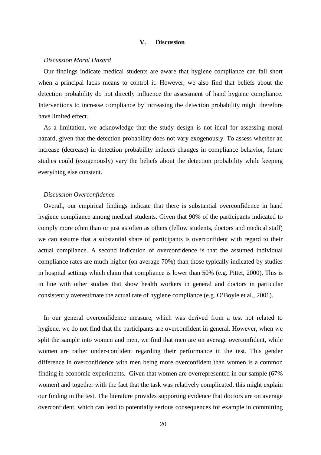#### **V. Discussion**

#### *Discussion Moral Hazard*

Our findings indicate medical students are aware that hygiene compliance can fall short when a principal lacks means to control it. However, we also find that beliefs about the detection probability do not directly influence the assessment of hand hygiene compliance. Interventions to increase compliance by increasing the detection probability might therefore have limited effect.

As a limitation, we acknowledge that the study design is not ideal for assessing moral hazard, given that the detection probability does not vary exogenously. To assess whether an increase (decrease) in detection probability induces changes in compliance behavior, future studies could (exogenously) vary the beliefs about the detection probability while keeping everything else constant.

#### *Discussion Overconfidence*

Overall, our empirical findings indicate that there is substantial overconfidence in hand hygiene compliance among medical students. Given that 90% of the participants indicated to comply more often than or just as often as others (fellow students, doctors and medical staff) we can assume that a substantial share of participants is overconfident with regard to their actual compliance. A second indication of overconfidence is that the assumed individual compliance rates are much higher (on average 70%) than those typically indicated by studies in hospital settings which claim that compliance is lower than 50% (e.g. Pittet, 2000). This is in line with other studies that show health workers in general and doctors in particular consistently overestimate the actual rate of hygiene compliance (e.g. O'Boyle et al., 2001).

In our general overconfidence measure, which was derived from a test not related to hygiene, we do not find that the participants are overconfident in general. However, when we split the sample into women and men, we find that men are on average overconfident, while women are rather under-confident regarding their performance in the test. This gender difference in overconfidence with men being more overconfident than women is a common finding in economic experiments. Given that women are overrepresented in our sample (67% women) and together with the fact that the task was relatively complicated, this might explain our finding in the test. The literature provides supporting evidence that doctors are on average overconfident, which can lead to potentially serious consequences for example in committing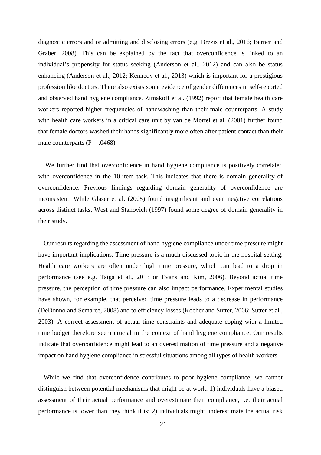diagnostic errors and or admitting and disclosing errors (e.g. Brezis et al., 2016; Berner and Graber, 2008). This can be explained by the fact that overconfidence is linked to an individual's propensity for status seeking (Anderson et al., 2012) and can also be status enhancing (Anderson et al., 2012; Kennedy et al., 2013) which is important for a prestigious profession like doctors. There also exists some evidence of gender differences in self-reported and observed hand hygiene compliance. Zimakoff et al. (1992) report that female health care workers reported higher frequencies of handwashing than their male counterparts. A study with health care workers in a critical care unit by van de Mortel et al. (2001) further found that female doctors washed their hands significantly more often after patient contact than their male counterparts ( $P = .0468$ ).

We further find that overconfidence in hand hygiene compliance is positively correlated with overconfidence in the 10-item task. This indicates that there is domain generality of overconfidence. Previous findings regarding domain generality of overconfidence are inconsistent. While Glaser et al. (2005) found insignificant and even negative correlations across distinct tasks, West and Stanovich (1997) found some degree of domain generality in their study.

Our results regarding the assessment of hand hygiene compliance under time pressure might have important implications. Time pressure is a much discussed topic in the hospital setting. Health care workers are often under high time pressure, which can lead to a drop in performance (see e.g. Tsiga et al., 2013 or Evans and Kim, 2006). Beyond actual time pressure, the perception of time pressure can also impact performance. Experimental studies have shown, for example, that perceived time pressure leads to a decrease in performance (DeDonno and Semaree, 2008) and to efficiency losses (Kocher and Sutter, 2006; Sutter et al., 2003). A correct assessment of actual time constraints and adequate coping with a limited time budget therefore seem crucial in the context of hand hygiene compliance. Our results indicate that overconfidence might lead to an overestimation of time pressure and a negative impact on hand hygiene compliance in stressful situations among all types of health workers.

While we find that overconfidence contributes to poor hygiene compliance, we cannot distinguish between potential mechanisms that might be at work: 1) individuals have a biased assessment of their actual performance and overestimate their compliance, i.e. their actual performance is lower than they think it is; 2) individuals might underestimate the actual risk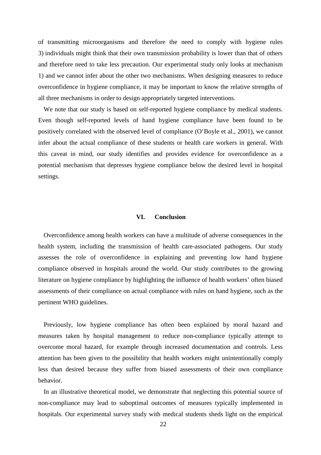of transmitting microorganisms and therefore the need to comply with hygiene rules 3) individuals might think that their own transmission probability is lower than that of others and therefore need to take less precaution. Our experimental study only looks at mechanism 1) and we cannot infer about the other two mechanisms. When designing measures to reduce overconfidence in hygiene compliance, it may be important to know the relative strengths of all three mechanisms in order to design appropriately targeted interventions.

We note that our study is based on self-reported hygiene compliance by medical students. Even though self-reported levels of hand hygiene compliance have been found to be positively correlated with the observed level of compliance (O'Boyle et al., 2001), we cannot infer about the actual compliance of these students or health care workers in general. With this caveat in mind, our study identifies and provides evidence for overconfidence as a potential mechanism that depresses hygiene compliance below the desired level in hospital settings.

#### **VI. Conclusion**

Overconfidence among health workers can have a multitude of adverse consequences in the health system, including the transmission of health care-associated pathogens. Our study assesses the role of overconfidence in explaining and preventing low hand hygiene compliance observed in hospitals around the world. Our study contributes to the growing literature on hygiene compliance by highlighting the influence of health workers' often biased assessments of their compliance on actual compliance with rules on hand hygiene, such as the pertinent WHO guidelines.

Previously, low hygiene compliance has often been explained by moral hazard and measures taken by hospital management to reduce non-compliance typically attempt to overcome moral hazard, for example through increased documentation and controls. Less attention has been given to the possibility that health workers might unintentionally comply less than desired because they suffer from biased assessments of their own compliance behavior.

In an illustrative theoretical model, we demonstrate that neglecting this potential source of non-compliance may lead to suboptimal outcomes of measures typically implemented in hospitals. Our experimental survey study with medical students sheds light on the empirical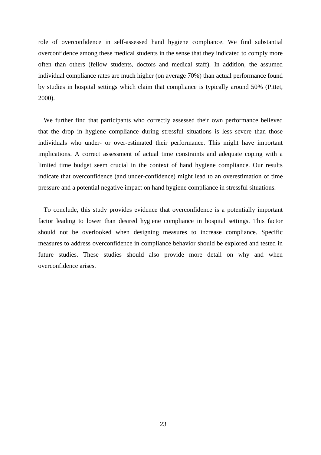role of overconfidence in self-assessed hand hygiene compliance. We find substantial overconfidence among these medical students in the sense that they indicated to comply more often than others (fellow students, doctors and medical staff). In addition, the assumed individual compliance rates are much higher (on average 70%) than actual performance found by studies in hospital settings which claim that compliance is typically around 50% (Pittet, 2000).

We further find that participants who correctly assessed their own performance believed that the drop in hygiene compliance during stressful situations is less severe than those individuals who under- or over-estimated their performance. This might have important implications. A correct assessment of actual time constraints and adequate coping with a limited time budget seem crucial in the context of hand hygiene compliance. Our results indicate that overconfidence (and under-confidence) might lead to an overestimation of time pressure and a potential negative impact on hand hygiene compliance in stressful situations.

To conclude, this study provides evidence that overconfidence is a potentially important factor leading to lower than desired hygiene compliance in hospital settings. This factor should not be overlooked when designing measures to increase compliance. Specific measures to address overconfidence in compliance behavior should be explored and tested in future studies. These studies should also provide more detail on why and when overconfidence arises.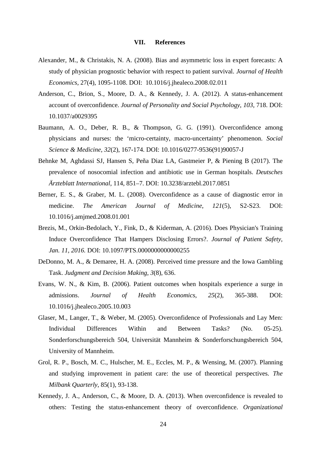#### **VII. References**

- Alexander, M., & Christakis, N. A. (2008). Bias and asymmetric loss in expert forecasts: A study of physician prognostic behavior with respect to patient survival. *Journal of Health Economics*, 27(4), 1095-1108. DOI: 10.1016/j.jhealeco.2008.02.011
- Anderson, C., Brion, S., Moore, D. A., & Kennedy, J. A. (2012). A status-enhancement account of overconfidence. *Journal of Personality and Social Psychology*, *103*, 718. DOI: 10.1037/a0029395
- Baumann, A. O., Deber, R. B., & Thompson, G. G. (1991). Overconfidence among physicians and nurses: the 'micro-certainty, macro-uncertainty' phenomenon. *Social Science & Medicine*, *32*(2), 167-174. DOI: 10.1016/0277-9536(91)90057-J
- Behnke M, Aghdassi SJ, Hansen S, Peña Diaz LA, Gastmeier P, & Piening B (2017). The prevalence of nosocomial infection and antibiotic use in German hospitals. *Deutsches Ärzteblatt International*, 114, 851–7. DOI: 10.3238/arztebl.2017.0851
- Berner, E. S., & Graber, M. L. (2008). Overconfidence as a cause of diagnostic error in medicine. *The American Journal of Medicine*, *121*(5), S2-S23. DOI: 10.1016/j.amjmed.2008.01.001
- Brezis, M., Orkin-Bedolach, Y., Fink, D., & Kiderman, A. (2016). Does Physician's Training Induce Overconfidence That Hampers Disclosing Errors?. *Journal of Patient Safety, Jan. 11, 2016.* DOI: 10.1097/PTS.0000000000000255
- DeDonno, M. A., & Demaree, H. A. (2008). Perceived time pressure and the Iowa Gambling Task. *Judgment and Decision Making*, *3*(8), 636.
- Evans, W. N., & Kim, B. (2006). Patient outcomes when hospitals experience a surge in admissions. *Journal of Health Economics*, *25*(2), 365-388. DOI: 10.1016/j.jhealeco.2005.10.003
- Glaser, M., Langer, T., & Weber, M. (2005). Overconfidence of Professionals and Lay Men: Individual Differences Within and Between Tasks? (No. 05-25). Sonderforschungsbereich 504, Universität Mannheim & Sonderforschungsbereich 504, University of Mannheim.
- Grol, R. P., Bosch, M. C., Hulscher, M. E., Eccles, M. P., & Wensing, M. (2007). Planning and studying improvement in patient care: the use of theoretical perspectives. *The Milbank Quarterly*, 85(1), 93-138.
- Kennedy, J. A., Anderson, C., & Moore, D. A. (2013). When overconfidence is revealed to others: Testing the status-enhancement theory of overconfidence. *Organizational*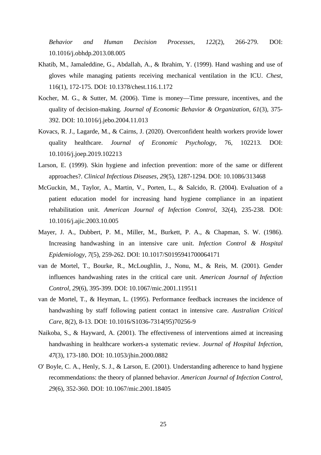*Behavior and Human Decision Processes*, *122*(2), 266-279. DOI: 10.1016/j.obhdp.2013.08.005

- Khatib, M., Jamaleddine, G., Abdallah, A., & Ibrahim, Y. (1999). Hand washing and use of gloves while managing patients receiving mechanical ventilation in the ICU. *Chest*, 116(1), 172-175. DOI: 10.1378/chest.116.1.172
- Kocher, M. G., & Sutter, M. (2006). Time is money—Time pressure, incentives, and the quality of decision-making. *Journal of Economic Behavior & Organization*, *61*(3), 375- 392. DOI: 10.1016/j.jebo.2004.11.013
- Kovacs, R. J., Lagarde, M., & Cairns, J. (2020). Overconfident health workers provide lower quality healthcare. *Journal of Economic Psychology*, 76, 102213. DOI: 10.1016/j.joep.2019.102213
- Larson, E. (1999). Skin hygiene and infection prevention: more of the same or different approaches?. *Clinical Infectious Diseases*, *29*(5), 1287-1294. DOI: 10.1086/313468
- McGuckin, M., Taylor, A., Martin, V., Porten, L., & Salcido, R. (2004). Evaluation of a patient education model for increasing hand hygiene compliance in an inpatient rehabilitation unit. *American Journal of Infection Control*, 32(4), 235-238. DOI: 10.1016/j.ajic.2003.10.005
- Mayer, J. A., Dubbert, P. M., Miller, M., Burkett, P. A., & Chapman, S. W. (1986). Increasing handwashing in an intensive care unit. *Infection Control & Hospital Epidemiology*, *7*(5), 259-262. DOI: 10.1017/S0195941700064171
- van de Mortel, T., Bourke, R., McLoughlin, J., Nonu, M., & Reis, M. (2001). Gender influences handwashing rates in the critical care unit. *American Journal of Infection Control*, *29*(6), 395-399. DOI: 10.1067/mic.2001.119511
- van de Mortel, T., & Heyman, L. (1995). Performance feedback increases the incidence of handwashing by staff following patient contact in intensive care. *Australian Critical Care*, 8(2), 8-13. DOI: 10.1016/S1036-7314(95)70256-9
- Naikoba, S., & Hayward, A. (2001). The effectiveness of interventions aimed at increasing handwashing in healthcare workers-a systematic review. *Journal of Hospital Infection*, *47*(3), 173-180. DOI: 10.1053/jhin.2000.0882
- O' Boyle, C. A., Henly, S. J., & Larson, E. (2001). Understanding adherence to hand hygiene recommendations: the theory of planned behavior. *American Journal of Infection Control*, *29*(6), 352-360. DOI: 10.1067/mic.2001.18405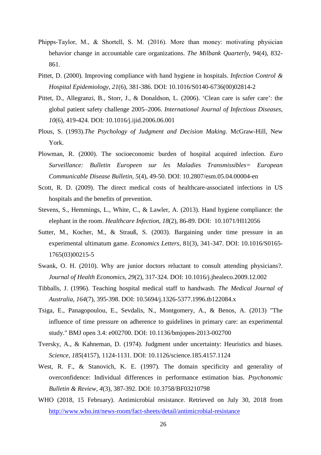- Phipps‐Taylor, M., & Shortell, S. M. (2016). More than money: motivating physician behavior change in accountable care organizations. *The Milbank Quarterly*, 94(4), 832- 861.
- Pittet, D. (2000). Improving compliance with hand hygiene in hospitals. *Infection Control & Hospital Epidemiology*, *21*(6), 381-386. DOI: 10.1016/S0140-6736(00)02814-2
- Pittet, D., Allegranzi, B., Storr, J., & Donaldson, L. (2006). 'Clean care is safer care': the global patient safety challenge 2005–2006. *International Journal of Infectious Diseases*, *10*(6), 419-424. DOI: 10.1016/j.ijid.2006.06.001
- Plous, S. (1993).*The Psychology of Judgment and Decision Making*. McGraw-Hill, New York.
- Plowman, R. (2000). The socioeconomic burden of hospital acquired infection. *Euro Surveillance: Bulletin Europeen sur les Maladies Transmissibles= European Communicable Disease Bulletin*, *5*(4), 49-50. DOI: 10.2807/esm.05.04.00004-en
- Scott, R. D. (2009). The direct medical costs of healthcare-associated infections in US hospitals and the benefits of prevention.
- Stevens, S., Hemmings, L., White, C., & Lawler, A. (2013). Hand hygiene compliance: the elephant in the room. *Healthcare Infection*, *18*(2), 86-89. DOI: 10.1071/HI12056
- Sutter, M., Kocher, M., & Strauß, S. (2003). Bargaining under time pressure in an experimental ultimatum game. *Economics Letters*, 81(3), 341-347. DOI: 10.1016/S0165- 1765(03)00215-5
- Swank, O. H. (2010). Why are junior doctors reluctant to consult attending physicians?. *Journal of Health Economics*, *29*(2), 317-324. DOI: 10.1016/j.jhealeco.2009.12.002
- Tibballs, J. (1996). Teaching hospital medical staff to handwash. *The Medical Journal of Australia*, *164*(7), 395-398. DOI: 10.5694/j.1326-5377.1996.tb122084.x
- Tsiga, E., Panagopoulou, E., Sevdalis, N., Montgomery, A., & Benos, A. (2013) "The influence of time pressure on adherence to guidelines in primary care: an experimental study." BMJ open 3.4: e002700. DOI: 10.1136/bmjopen-2013-002700
- Tversky, A., & Kahneman, D. (1974). Judgment under uncertainty: Heuristics and biases. *Science*, *185*(4157), 1124-1131. DOI: 10.1126/science.185.4157.1124
- West, R. F., & Stanovich, K. E. (1997). The domain specificity and generality of overconfidence: Individual differences in performance estimation bias. *Psychonomic Bulletin & Review*, *4*(3), 387-392. DOI: 10.3758/BF03210798
- WHO (2018, 15 February). Antimicrobial resistance. Retrieved on July 30, 2018 from <http://www.who.int/news-room/fact-sheets/detail/antimicrobial-resistance>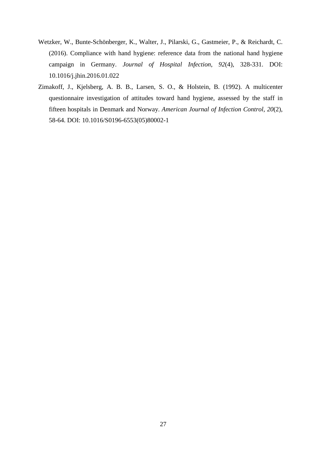- Wetzker, W., Bunte-Schönberger, K., Walter, J., Pilarski, G., Gastmeier, P., & Reichardt, C. (2016). Compliance with hand hygiene: reference data from the national hand hygiene campaign in Germany. *Journal of Hospital Infection*, *92*(4), 328-331. DOI: 10.1016/j.jhin.2016.01.022
- Zimakoff, J., Kjelsberg, A. B. B., Larsen, S. O., & Holstein, B. (1992). A multicenter questionnaire investigation of attitudes toward hand hygiene, assessed by the staff in fifteen hospitals in Denmark and Norway. *American Journal of Infection Control*, *20*(2), 58-64. DOI: 10.1016/S0196-6553(05)80002-1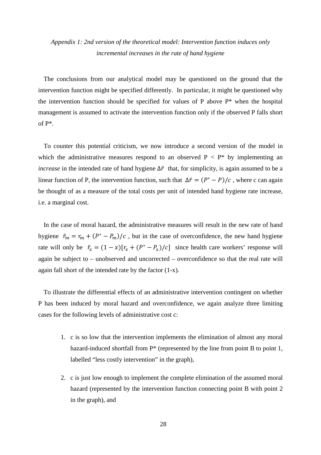# *Appendix 1: 2nd version of the theoretical model: Intervention function induces only incremental increases in the rate of hand hygiene*

The conclusions from our analytical model may be questioned on the ground that the intervention function might be specified differently. In particular, it might be questioned why the intervention function should be specified for values of P above  $P^*$  when the hospital management is assumed to activate the intervention function only if the observed P falls short of P\*.

To counter this potential criticism, we now introduce a second version of the model in which the administrative measures respond to an observed  $P < P^*$  by implementing an *increase* in the intended rate of hand hygiene  $\Delta \tilde{r}$  that, for simplicity, is again assumed to be a linear function of P, the intervention function, such that  $\Delta \tilde{r} = (P^* - P)/c$ , where c can again be thought of as a measure of the total costs per unit of intended hand hygiene rate increase, i.e. a marginal cost.

In the case of moral hazard, the administrative measures will result in the new rate of hand hygiene  $\tilde{r}_m = r_m + (P^* - P_m)/c$ , but in the case of overconfidence, the new hand hygiene rate will only be  $\tilde{r}_x = (1 - x)[r_x + (P^* - P_x)/c]$  since health care workers' response will again be subject to – unobserved and uncorrected – overconfidence so that the real rate will again fall short of the intended rate by the factor (1-x).

To illustrate the differential effects of an administrative intervention contingent on whether P has been induced by moral hazard and overconfidence, we again analyze three limiting cases for the following levels of administrative cost c:

- 1. c is so low that the intervention implements the elimination of almost any moral hazard-induced shortfall from  $P^*$  (represented by the line from point B to point 1, labelled "less costly intervention" in the graph),
- 2. c is just low enough to implement the complete elimination of the assumed moral hazard (represented by the intervention function connecting point B with point 2 in the graph), and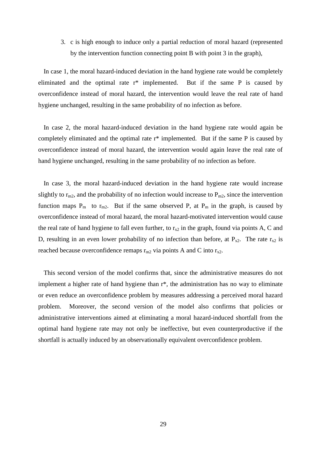3. c is high enough to induce only a partial reduction of moral hazard (represented by the intervention function connecting point B with point 3 in the graph),

In case 1, the moral hazard-induced deviation in the hand hygiene rate would be completely eliminated and the optimal rate r\* implemented. But if the same P is caused by overconfidence instead of moral hazard, the intervention would leave the real rate of hand hygiene unchanged, resulting in the same probability of no infection as before.

In case 2, the moral hazard-induced deviation in the hand hygiene rate would again be completely eliminated and the optimal rate r\* implemented. But if the same P is caused by overconfidence instead of moral hazard, the intervention would again leave the real rate of hand hygiene unchanged, resulting in the same probability of no infection as before.

In case 3, the moral hazard-induced deviation in the hand hygiene rate would increase slightly to  $r_{m2}$ , and the probability of no infection would increase to  $P_{m2}$ , since the intervention function maps  $P_m$  to  $r_{m2}$ . But if the same observed P, at  $P_m$  in the graph, is caused by overconfidence instead of moral hazard, the moral hazard-motivated intervention would cause the real rate of hand hygiene to fall even further, to  $r_{x2}$  in the graph, found via points A, C and D, resulting in an even lower probability of no infection than before, at  $P_{x2}$ . The rate  $r_{x2}$  is reached because overconfidence remaps  $r_{m2}$  via points A and C into  $r_{x2}$ .

This second version of the model confirms that, since the administrative measures do not implement a higher rate of hand hygiene than r\*, the administration has no way to eliminate or even reduce an overconfidence problem by measures addressing a perceived moral hazard problem. Moreover, the second version of the model also confirms that policies or administrative interventions aimed at eliminating a moral hazard-induced shortfall from the optimal hand hygiene rate may not only be ineffective, but even counterproductive if the shortfall is actually induced by an observationally equivalent overconfidence problem.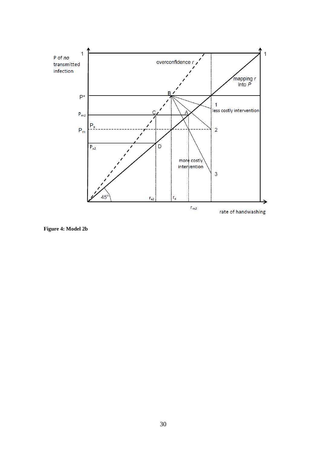

**Figure 4: Model 2b**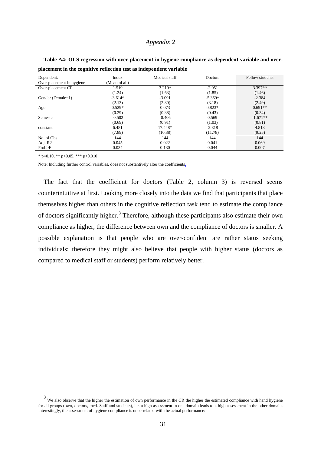#### *Appendix 2*

| <u>pintennent in the cognitive extrements tool no interpendent emimole</u> |               |               |           |                 |  |  |  |  |  |  |  |
|----------------------------------------------------------------------------|---------------|---------------|-----------|-----------------|--|--|--|--|--|--|--|
| Dependent:                                                                 | Index         | Medical staff | Doctors   | Fellow students |  |  |  |  |  |  |  |
| Over-placement in hygiene                                                  | (Mean of all) |               |           |                 |  |  |  |  |  |  |  |
| Over-placement CR                                                          | 1.519         | $3.210*$      | $-2.051$  | $3.397**$       |  |  |  |  |  |  |  |
|                                                                            | (1.24)        | (1.63)        | (1.85)    | (1.46)          |  |  |  |  |  |  |  |
| Gender (Female=1)                                                          | $-3.614*$     | $-3.091$      | $-5.369*$ | $-2.384$        |  |  |  |  |  |  |  |
|                                                                            | (2.13)        | (2.80)        | (3.18)    | (2.49)          |  |  |  |  |  |  |  |
| Age                                                                        | $0.529*$      | 0.073         | $0.823*$  | $0.691**$       |  |  |  |  |  |  |  |
|                                                                            | (0.29)        | (0.38)        | (0.43)    | (0.34)          |  |  |  |  |  |  |  |
| Semester                                                                   | $-0.502$      | $-0.406$      | 0.569     | $-1.671**$      |  |  |  |  |  |  |  |
|                                                                            | (0.69)        | (0.91)        | (1.03)    | (0.81)          |  |  |  |  |  |  |  |
| constant                                                                   | 6.481         | 17.448*       | $-2.818$  | 4.813           |  |  |  |  |  |  |  |
|                                                                            | (7.89)        | (10.38)       | (11.78)   | (9.25)          |  |  |  |  |  |  |  |
| No. of Obs.                                                                | 144           | 144           | 144       | 144             |  |  |  |  |  |  |  |
| Adj. R2                                                                    | 0.045         | 0.022         | 0.041     | 0.069           |  |  |  |  |  |  |  |
| Prob>F                                                                     | 0.034         | 0.130         | 0.044     | 0.007           |  |  |  |  |  |  |  |

**Table A4: OLS regression with over-placement in hygiene compliance as dependent variable and overplacement in the cognitive reflection test as independent variable**

 $*$  p<0.10,  $**$  p<0.05,  $***$  p<0.010

Note: Including further control variables, does not substantively alter the coefficients.

The fact that the coefficient for doctors [\(Table 2,](#page-18-0) column 3) is reversed seems counterintuitive at first. Looking more closely into the data we find that participants that place themselves higher than others in the cognitive reflection task tend to estimate the compliance of doctors significantly higher.<sup>[3](#page-31-0)</sup> Therefore, although these participants also estimate their own compliance as higher, the difference between own and the compliance of doctors is smaller. A possible explanation is that people who are over-confident are rather status seeking individuals; therefore they might also believe that people with higher status (doctors as compared to medical staff or students) perform relatively better.

<span id="page-31-0"></span><sup>&</sup>lt;sup>3</sup> We also observe that the higher the estimation of own performance in the CR the higher the estimated compliance with hand hygiene for all groups (own, doctors, med. Staff and students), i.e. a high assessment in one domain leads to a high assessment in the other domain. Interestingly, the assessment of hygiene compliance is uncorrelated with the actual performance: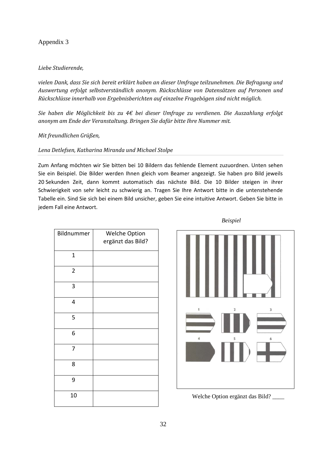# Appendix 3

# *Liebe Studierende,*

*vielen Dank, dass Sie sich bereit erklärt haben an dieser Umfrage teilzunehmen. Die Befragung und Auswertung erfolgt selbstverständlich anonym. Rückschlüsse von Datensätzen auf Personen und Rückschlüsse innerhalb von Ergebnisberichten auf einzelne Fragebögen sind nicht möglich.* 

*Sie haben die Möglichkeit bis zu 4€ bei dieser Umfrage zu verdienen. Die Auszahlung erfolgt anonym am Ende der Veranstaltung. Bringen Sie dafür bitte Ihre Nummer mit.*

*Mit freundlichen Grüßen,*

# *Lena Detlefsen, Katharina Miranda und Michael Stolpe*

Zum Anfang möchten wir Sie bitten bei 10 Bildern das fehlende Element zuzuordnen. Unten sehen Sie ein Beispiel. Die Bilder werden Ihnen gleich vom Beamer angezeigt. Sie haben pro Bild jeweils 20 Sekunden Zeit, dann kommt automatisch das nächste Bild. Die 10 Bilder steigen in ihrer Schwierigkeit von sehr leicht zu schwierig an. Tragen Sie Ihre Antwort bitte in die untenstehende Tabelle ein. Sind Sie sich bei einem Bild unsicher, geben Sie eine intuitive Antwort. Geben Sie bitte in jedem Fall eine Antwort.

| Bildnummer     | <b>Welche Option</b><br>ergänzt das Bild? |
|----------------|-------------------------------------------|
| 1              |                                           |
| $\overline{2}$ |                                           |
| 3              |                                           |
| 4              |                                           |
| 5              |                                           |
| 6              |                                           |
| 7              |                                           |
| 8              |                                           |
| 9              |                                           |
| 10             |                                           |

*Beispiel*

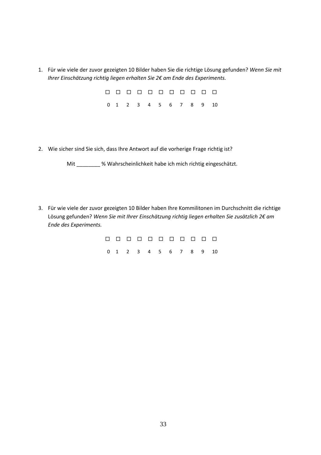1. Für wie viele der zuvor gezeigten 10 Bilder haben Sie die richtige Lösung gefunden? *Wenn Sie mit Ihrer Einschätzung richtig liegen erhalten Sie 2€ am Ende des Experiments.*

> 0000000000 0 1 2 3 4 5 6 7 8 9 10

2. Wie sicher sind Sie sich, dass Ihre Antwort auf die vorherige Frage richtig ist?

Mit \_\_\_\_\_\_\_ % Wahrscheinlichkeit habe ich mich richtig eingeschätzt.

3. Für wie viele der zuvor gezeigten 10 Bilder haben Ihre Kommilitonen im Durchschnitt die richtige Lösung gefunden? *Wenn Sie mit Ihrer Einschätzung richtig liegen erhalten Sie zusätzlich 2€ am Ende des Experiments.*

|  |  |  |  | 0 0 0 0 0 0 0 0 0 0 0  |  |
|--|--|--|--|------------------------|--|
|  |  |  |  | 0 1 2 3 4 5 6 7 8 9 10 |  |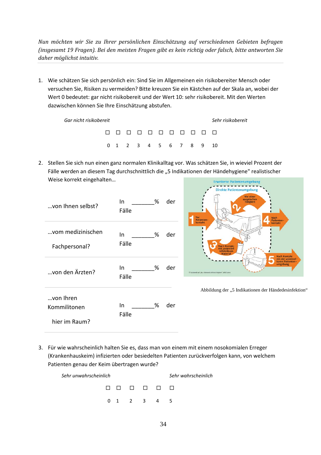*Nun möchten wir Sie zu Ihrer persönlichen Einschätzung auf verschiedenen Gebieten befragen (insgesamt 19 Fragen). Bei den meisten Fragen gibt es kein richtig oder falsch, bitte antworten Sie daher möglichst intuitiv.*

1. Wie schätzen Sie sich persönlich ein: Sind Sie im Allgemeinen ein risikobereiter Mensch oder versuchen Sie, Risiken zu vermeiden? Bitte kreuzen Sie ein Kästchen auf der Skala an, wobei der Wert 0 bedeutet: gar nicht risikobereit und der Wert 10: sehr risikobereit. Mit den Werten dazwischen können Sie Ihre Einschätzung abstufen.

| Gar nicht risikobereit |  |  |  |  |  |  |                        |  |  |  | Sehr risikobereit |
|------------------------|--|--|--|--|--|--|------------------------|--|--|--|-------------------|
|                        |  |  |  |  |  |  |                        |  |  |  |                   |
|                        |  |  |  |  |  |  | 0 1 2 3 4 5 6 7 8 9 10 |  |  |  |                   |

2. Stellen Sie sich nun einen ganz normalen Klinikalltag vor. Was schätzen Sie, in wieviel Prozent der Fälle werden an diesem Tag durchschnittlich die "5 Indikationen der Händehygiene" realistischer Weise korrekt eingehalten…

| von Ihnen selbst?                          | In.<br>Fälle | % | der |
|--------------------------------------------|--------------|---|-----|
| vom medizinischen<br>Fachpersonal?         | In.<br>Fälle | % | der |
| von den Ärzten?                            | In.<br>Fälle | % | der |
| von Ihren<br>Kommilitonen<br>hier im Raum? | In<br>Fälle  | % | der |



Abbildung der "5 Indikationen der Händedesinfektion"

3. Für wie wahrscheinlich halten Sie es, dass man von einem mit einem nosokomialen Erreger (Krankenhauskeim) infizierten oder besiedelten Patienten zurückverfolgen kann, von welchem Patienten genau der Keim übertragen wurde?

| Sehr unwahrscheinlich | Sehr wahrscheinlich |             |  |  |
|-----------------------|---------------------|-------------|--|--|
|                       |                     | 8 8 8 8 8 8 |  |  |
|                       |                     | 0 1 2 3 4 5 |  |  |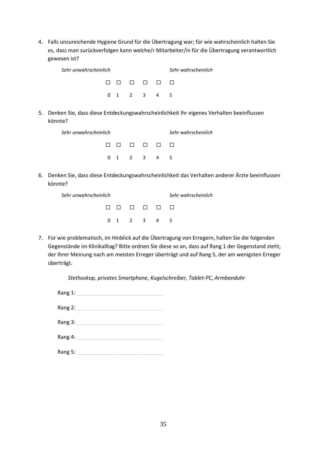4. Falls unzureichende Hygiene Grund für die Übertragung war; für wie wahrscheinlich halten Sie es, dass man zurückverfolgen kann welche/r Mitarbeiter/in für die Übertragung verantwortlich gewesen ist?

| Sehr unwahrscheinlich | Sehr wahrscheinlich |             |  |  |
|-----------------------|---------------------|-------------|--|--|
|                       |                     | 0000000     |  |  |
|                       |                     | 0 1 2 3 4 5 |  |  |

5. Denken Sie, dass diese Entdeckungswahrscheinlichkeit Ihr eigenes Verhalten beeinflussen könnte?

| Sehr unwahrscheinlich | Sehr wahrscheinlich |             |  |      |
|-----------------------|---------------------|-------------|--|------|
|                       |                     | n n n n n n |  |      |
|                       |                     | 0 1 2 3 4   |  | $-5$ |

6. Denken Sie, dass diese Entdeckungswahrscheinlichkeit das Verhalten anderer Ärzte beeinflussen könnte?

| Sehr unwahrscheinlich | Sehr wahrscheinlich |  |  |
|-----------------------|---------------------|--|--|
|                       | nn nn nn            |  |  |
|                       | 0 1 2 3 4 5         |  |  |

7. Für wie problematisch, im Hinblick auf die Übertragung von Erregern, halten Sie die folgenden Gegenstände im Klinikalltag? Bitte ordnen Sie diese so an, dass auf Rang 1 der Gegenstand steht, der Ihrer Meinung nach am meisten Erreger überträgt und auf Rang 5, der am wenigsten Erreger überträgt.

*Stethoskop, privates Smartphone, Kugelschreiber, Tablet-PC, Armbanduhr*

| Rang 1: |  |  |
|---------|--|--|
| Rang 2: |  |  |
| Rang 3: |  |  |
| Rang 4: |  |  |
| Rang 5: |  |  |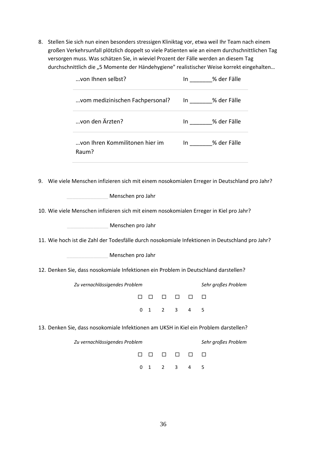8. Stellen Sie sich nun einen besonders stressigen Kliniktag vor, etwa weil Ihr Team nach einem großen Verkehrsunfall plötzlich doppelt so viele Patienten wie an einem durchschnittlichen Tag versorgen muss. Was schätzen Sie, in wieviel Prozent der Fälle werden an diesem Tag durchschnittlich die "5 Momente der Händehygiene" realistischer Weise korrekt eingehalten...

|                                                                                     | von Ihnen selbst?                       |                               |                   |              |        |              | In % der Fälle         |                                                                                                 |  |  |
|-------------------------------------------------------------------------------------|-----------------------------------------|-------------------------------|-------------------|--------------|--------|--------------|------------------------|-------------------------------------------------------------------------------------------------|--|--|
|                                                                                     | vom medizinischen Fachpersonal?         |                               |                   |              |        |              | In % der Fälle         |                                                                                                 |  |  |
|                                                                                     |                                         | von den Ärzten?               |                   |              |        |              | In _______% der Fälle  |                                                                                                 |  |  |
|                                                                                     | von Ihren Kommilitonen hier im<br>Raum? |                               |                   |              |        |              | In ________% der Fälle |                                                                                                 |  |  |
|                                                                                     |                                         |                               |                   |              |        |              |                        | 9. Wie viele Menschen infizieren sich mit einem nosokomialen Erreger in Deutschland pro Jahr?   |  |  |
|                                                                                     |                                         |                               | Menschen pro Jahr |              |        |              |                        |                                                                                                 |  |  |
|                                                                                     |                                         |                               |                   |              |        |              |                        | 10. Wie viele Menschen infizieren sich mit einem nosokomialen Erreger in Kiel pro Jahr?         |  |  |
|                                                                                     |                                         |                               | Menschen pro Jahr |              |        |              |                        |                                                                                                 |  |  |
|                                                                                     |                                         |                               |                   |              |        |              |                        | 11. Wie hoch ist die Zahl der Todesfälle durch nosokomiale Infektionen in Deutschland pro Jahr? |  |  |
| Menschen pro Jahr                                                                   |                                         |                               |                   |              |        |              |                        |                                                                                                 |  |  |
| 12. Denken Sie, dass nosokomiale Infektionen ein Problem in Deutschland darstellen? |                                         |                               |                   |              |        |              |                        |                                                                                                 |  |  |
|                                                                                     |                                         | Zu vernachlässigendes Problem |                   |              |        |              |                        | Sehr großes Problem                                                                             |  |  |
|                                                                                     |                                         |                               | П                 | $\Box$       | $\Box$ | $\Box$       | $\Box$                 | ⊔                                                                                               |  |  |
|                                                                                     |                                         |                               | 0                 | $\mathbf{1}$ | 2      | $\mathbf{3}$ | $\overline{4}$         | 5                                                                                               |  |  |
|                                                                                     |                                         |                               |                   |              |        |              |                        | 13. Denken Sie, dass nosokomiale Infektionen am UKSH in Kiel ein Problem darstellen?            |  |  |
|                                                                                     |                                         | Zu vernachlässigendes Problem |                   |              |        |              |                        | Sehr großes Problem                                                                             |  |  |
|                                                                                     |                                         |                               | ⊔                 | ப            | $\Box$ | □            | □                      | $\Box$                                                                                          |  |  |
|                                                                                     |                                         |                               | 0                 | 1            | 2      | 3            | 4                      | 5                                                                                               |  |  |